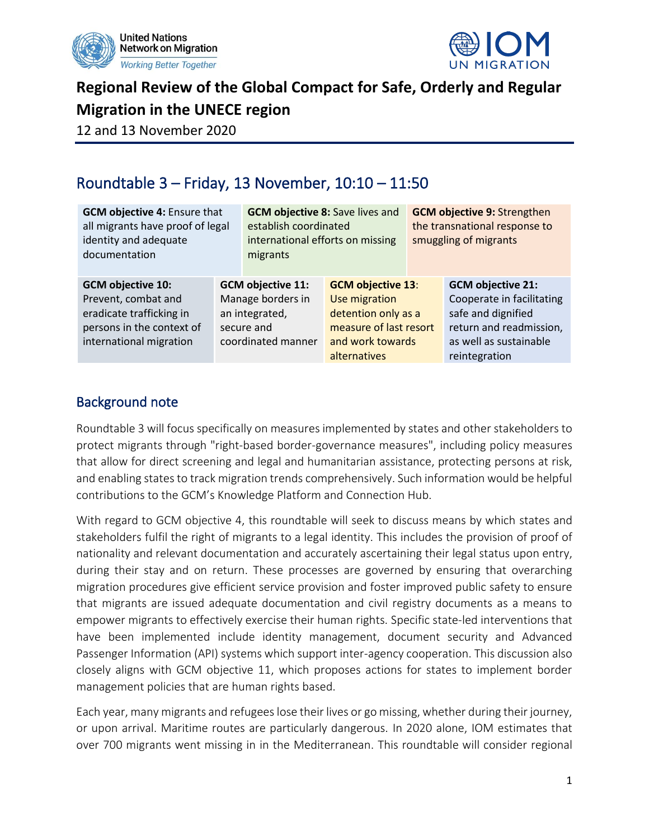



**Regional Review of the Global Compact for Safe, Orderly and Regular Migration in the UNECE region**

12 and 13 November 2020

# Roundtable 3 – Friday, 13 November, 10:10 – 11:50

| <b>GCM objective 4: Ensure that</b><br>all migrants have proof of legal<br>identity and adequate<br>documentation                   |  | <b>GCM objective 8: Save lives and</b><br>establish coordinated<br>international efforts on missing<br>migrants |                                                                                                                                | <b>GCM objective 9: Strengthen</b><br>the transnational response to<br>smuggling of migrants |                                                                                                                                                   |
|-------------------------------------------------------------------------------------------------------------------------------------|--|-----------------------------------------------------------------------------------------------------------------|--------------------------------------------------------------------------------------------------------------------------------|----------------------------------------------------------------------------------------------|---------------------------------------------------------------------------------------------------------------------------------------------------|
| <b>GCM objective 10:</b><br>Prevent, combat and<br>eradicate trafficking in<br>persons in the context of<br>international migration |  | <b>GCM objective 11:</b><br>Manage borders in<br>an integrated,<br>secure and<br>coordinated manner             | <b>GCM objective 13:</b><br>Use migration<br>detention only as a<br>measure of last resort<br>and work towards<br>alternatives |                                                                                              | <b>GCM objective 21:</b><br>Cooperate in facilitating<br>safe and dignified<br>return and readmission,<br>as well as sustainable<br>reintegration |

### Background note

Roundtable 3 will focus specifically on measures implemented by states and other stakeholders to protect migrants through "right-based border-governance measures", including policy measures that allow for direct screening and legal and humanitarian assistance, protecting persons at risk, and enabling states to track migration trends comprehensively. Such information would be helpful contributions to the GCM's Knowledge Platform and Connection Hub.

With regard to GCM objective 4, this roundtable will seek to discuss means by which states and stakeholders fulfil the right of migrants to a legal identity. This includes the provision of proof of nationality and relevant documentation and accurately ascertaining their legal status upon entry, during their stay and on return. These processes are governed by ensuring that overarching migration procedures give efficient service provision and foster improved public safety to ensure that migrants are issued adequate documentation and civil registry documents as a means to empower migrants to effectively exercise their human rights. Specific state-led interventions that have been implemented include identity management, document security and Advanced Passenger Information (API) systems which support inter-agency cooperation. This discussion also closely aligns with GCM objective 11, which proposes actions for states to implement border management policies that are human rights based.

Each year, many migrants and refugees lose their lives or go missing, whether during their journey, or upon arrival. Maritime routes are particularly dangerous. In 2020 alone, IOM estimates that over 700 migrants went missing in in the Mediterranean. This roundtable will consider regional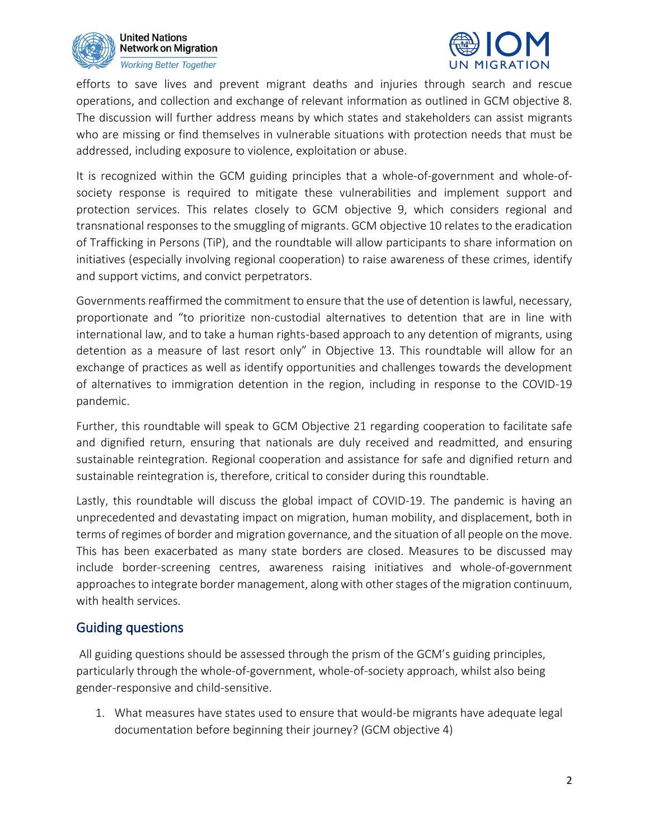



efforts to save lives and prevent migrant deaths and injuries through search and rescue operations, and collection and exchange of relevant information as outlined in GCM objective 8. The discussion will further address means by which states and stakeholders can assist migrants who are missing or find themselves in vulnerable situations with protection needs that must be addressed, including exposure to violence, exploitation or abuse.

It is recognized within the GCM guiding principles that a whole-of-government and whole-ofsociety response is required to mitigate these vulnerabilities and implement support and protection services. This relates closely to GCM objective 9, which considers regional and transnational responses to the smuggling of migrants. GCM objective 10 relates to the eradication of Trafficking in Persons (TiP), and the roundtable will allow participants to share information on initiatives (especially involving regional cooperation) to raise awareness of these crimes, identify and support victims, and convict perpetrators.

Governments reaffirmed the commitment to ensure that the use of detention is lawful, necessary, proportionate and "to prioritize non-custodial alternatives to detention that are in line with international law, and to take a human rights-based approach to any detention of migrants, using detention as a measure of last resort only" in Objective 13. This roundtable will allow for an exchange of practices as well as identify opportunities and challenges towards the development of alternatives to immigration detention in the region, including in response to the COVID-19 pandemic.

Further, this roundtable will speak to GCM Objective 21 regarding cooperation to facilitate safe and dignified return, ensuring that nationals are duly received and readmitted, and ensuring sustainable reintegration. Regional cooperation and assistance for safe and dignified return and sustainable reintegration is, therefore, critical to consider during this roundtable.

Lastly, this roundtable will discuss the global impact of COVID-19. The pandemic is having an unprecedented and devastating impact on migration, human mobility, and displacement, both in terms of regimes of border and migration governance, and the situation of all people on the move. This has been exacerbated as many state borders are closed. Measures to be discussed may include border-screening centres, awareness raising initiatives and whole-of-government approaches to integrate border management, along with other stages of the migration continuum, with health services.

#### Guiding questions

All guiding questions should be assessed through the prism of the GCM's guiding principles, particularly through the whole-of-government, whole-of-society approach, whilst also being gender-responsive and child-sensitive.

1. What measures have states used to ensure that would-be migrants have adequate legal documentation before beginning their journey? (GCM objective 4)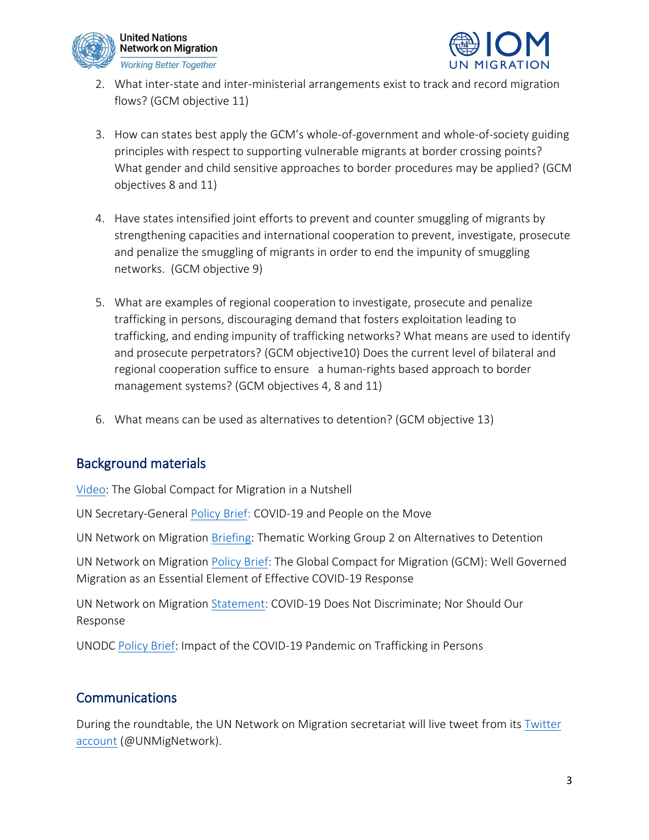



- 2. What inter-state and inter-ministerial arrangements exist to track and record migration flows? (GCM objective 11)
- 3. How can states best apply the GCM's whole-of-government and whole-of-society guiding principles with respect to supporting vulnerable migrants at border crossing points? What gender and child sensitive approaches to border procedures may be applied? (GCM objectives 8 and 11)
- 4. Have states intensified joint efforts to prevent and counter smuggling of migrants by strengthening capacities and international cooperation to prevent, investigate, prosecute and penalize the smuggling of migrants in order to end the impunity of smuggling networks. (GCM objective 9)
- 5. What are examples of regional cooperation to investigate, prosecute and penalize trafficking in persons, discouraging demand that fosters exploitation leading to trafficking, and ending impunity of trafficking networks? What means are used to identify and prosecute perpetrators? (GCM objective10) Does the current level of bilateral and regional cooperation suffice to ensure a human-rights based approach to border management systems? (GCM objectives 4, 8 and 11)
- 6. What means can be used as alternatives to detention? (GCM objective 13)

## Background materials

[Video:](https://youtu.be/HZtOtSR_3f8) The Global Compact for Migration in a Nutshell

UN Secretary-General [Policy Brief:](https://www.un.org/sites/un2.un.org/files/sg_policy_brief_on_people_on_the_move.pdf) COVID-19 and People on the Move

UN Network on Migration [Briefing:](https://migrationnetwork.un.org/sites/default/files/docs/tps_briefing_ms_oct_2020_twg_2_0.pdf) Thematic Working Group 2 on Alternatives to Detention

UN Network on Migration [Policy Brief:](https://migrationnetwork.un.org/sites/default/files/docs/policy_brief-gcm_and_well_governed_migration_as_an_essential_element_of_effective_covid-19_response_1.pdf) The Global Compact for Migration (GCM): Well Governed Migration as an Essential Element of Effective COVID-19 Response

UN Network on Migration [Statement:](https://migrationnetwork.un.org/statements/covid-19-does-not-discriminate-nor-should-our-response) COVID-19 Does Not Discriminate; Nor Should Our Response

UNODC [Policy Brief:](https://www.unodc.org/documents/Advocacy-Section/HTMSS_Thematic_Brief_on_COVID-19.pdf) Impact of the COVID-19 Pandemic on Trafficking in Persons

### **Communications**

During the roundtable, the UN Network on Migration secretariat will live tweet from its [Twitter](https://twitter.com/UNMigNetwork)  [account](https://twitter.com/UNMigNetwork) (@UNMigNetwork).